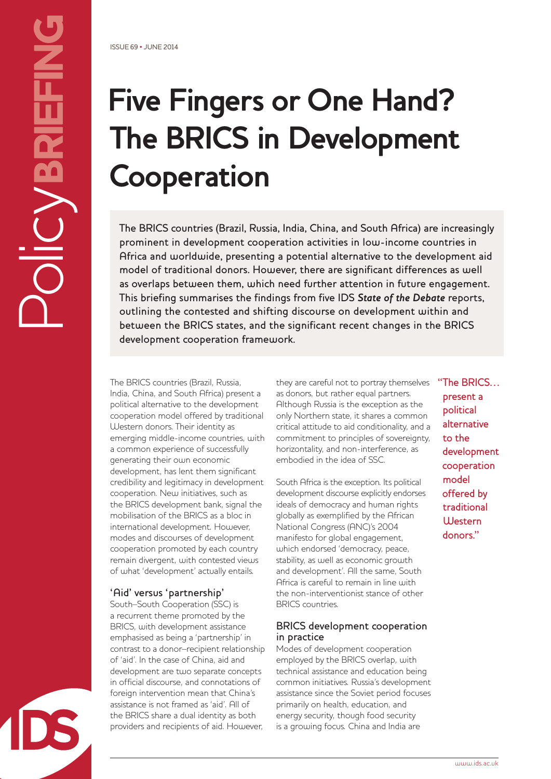# **Five Fingers or One Hand? The BRICS in Development Cooperation**

The BRICS countries (Brazil, Russia, India, China, and South Africa) are increasingly prominent in development cooperation activities in low-income countries in Africa and worldwide, presenting a potential alternative to the development aid model of traditional donors. However, there are significant differences as well as overlaps between them, which need further attention in future engagement. This briefing summarises the findings from five IDS *State of the Debate* reports, outlining the contested and shifting discourse on development within and between the BRICS states, and the significant recent changes in the BRICS development cooperation framework.

The BRICS countries (Brazil, Russia, India, China, and South Africa) present a political alternative to the development cooperation model offered by traditional Western donors. Their identity as emerging middle-income countries, with a common experience of successfully generating their own economic development, has lent them significant credibility and legitimacy in development cooperation. New initiatives, such as the BRICS development bank, signal the mobilisation of the BRICS as a bloc in international development. However, modes and discourses of development cooperation promoted by each country remain divergent, with contested views of what 'development' actually entails.

#### 'Aid' versus 'partnership'

South–South Cooperation (SSC) is a recurrent theme promoted by the BRICS, with development assistance emphasised as being a 'partnership' in contrast to a donor–recipient relationship of 'aid'. In the case of China, aid and development are two separate concepts in official discourse, and connotations of foreign intervention mean that China's assistance is not framed as 'aid'. All of the BRICS share a dual identity as both providers and recipients of aid. However,

they are careful not to portray themselves as donors, but rather equal partners. Although Russia is the exception as the only Northern state, it shares a common critical attitude to aid conditionality, and a commitment to principles of sovereignty, horizontality, and non-interference, as embodied in the idea of SSC.

South Africa is the exception. Its political development discourse explicitly endorses ideals of democracy and human rights globally as exemplified by the African National Congress (ANC)'s 2004 manifesto for global engagement, which endorsed 'democracy, peace, stability, as well as economic growth and development'. All the same, South Africa is careful to remain in line with the non-interventionist stance of other BRICS countries.

#### BRICS development cooperation in practice

Modes of development cooperation employed by the BRICS overlap, with technical assistance and education being common initiatives. Russia's development assistance since the Soviet period focuses primarily on health, education, and energy security, though food security is a growing focus. China and India are

"The BRICS… present a political alternative to the development cooperation model offered by traditional **Western** donors."

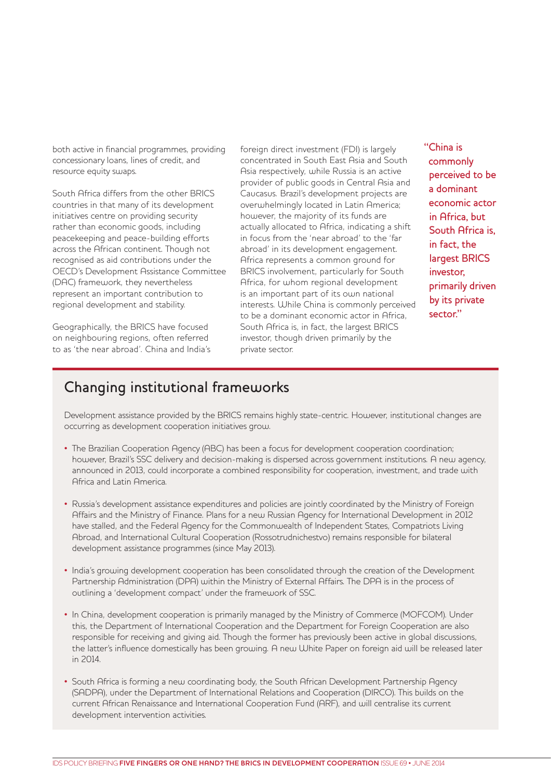both active in financial programmes, providing concessionary loans, lines of credit, and resource equity swaps.

South Africa differs from the other BRICS countries in that many of its development initiatives centre on providing security rather than economic goods, including peacekeeping and peace-building efforts across the African continent. Though not recognised as aid contributions under the OECD's Development Assistance Committee (DAC) framework, they nevertheless represent an important contribution to regional development and stability.

Geographically, the BRICS have focused on neighbouring regions, often referred to as 'the near abroad'. China and India's foreign direct investment (FDI) is largely concentrated in South East Asia and South Asia respectively, while Russia is an active provider of public goods in Central Asia and Caucasus. Brazil's development projects are overwhelmingly located in Latin America; however, the majority of its funds are actually allocated to Africa, indicating a shift in focus from the 'near abroad' to the 'far abroad' in its development engagement. Africa represents a common ground for BRICS involvement, particularly for South Africa, for whom regional development is an important part of its own national interests. While China is commonly perceived to be a dominant economic actor in Africa, South Africa is, in fact, the largest BRICS investor, though driven primarily by the private sector.

"China is commonly perceived to be a dominant economic actor in Africa, but South Africa is, in fact, the largest BRICS investor, primarily driven by its private sector."

### Changing institutional frameworks

Development assistance provided by the BRICS remains highly state-centric. However, institutional changes are occurring as development cooperation initiatives grow.

- The Brazilian Cooperation Agency (ABC) has been a focus for development cooperation coordination; however, Brazil's SSC delivery and decision-making is dispersed across government institutions. A new agency, announced in 2013, could incorporate a combined responsibility for cooperation, investment, and trade with Africa and Latin America.
- Russia's development assistance expenditures and policies are jointly coordinated by the Ministry of Foreign Affairs and the Ministry of Finance. Plans for a new Russian Agency for International Development in 2012 have stalled, and the Federal Agency for the Commonwealth of Independent States, Compatriots Living Abroad, and International Cultural Cooperation (Rossotrudnichestvo) remains responsible for bilateral development assistance programmes (since May 2013).
- India's growing development cooperation has been consolidated through the creation of the Development Partnership Administration (DPA) within the Ministry of External Affairs. The DPA is in the process of outlining a 'development compact' under the framework of SSC.
- In China, development cooperation is primarily managed by the Ministry of Commerce (MOFCOM). Under this, the Department of International Cooperation and the Department for Foreign Cooperation are also responsible for receiving and giving aid. Though the former has previously been active in global discussions, the latter's influence domestically has been growing. A new White Paper on foreign aid will be released later in 2014.
- South Africa is forming a new coordinating body, the South African Development Partnership Agency (SADPA), under the Department of International Relations and Cooperation (DIRCO). This builds on the current African Renaissance and International Cooperation Fund (ARF), and will centralise its current development intervention activities.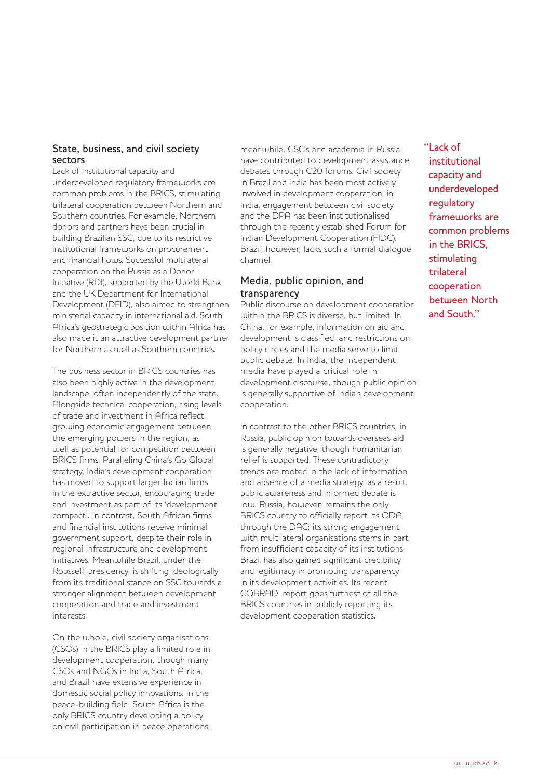#### State, business, and civil society sectors

Lack of institutional capacity and underdeveloped regulatory frameworks are common problems in the BRICS, stimulating trilateral cooperation between Northern and Southern countries. For example, Northern donors and partners have been crucial in building Brazilian SSC, due to its restrictive institutional frameworks on procurement and financial flows. Successful multilateral cooperation on the Russia as a Donor Initiative (RDI), supported by the World Bank and the UK Department for International Development (DFID), also aimed to strengthen ministerial capacity in international aid. South Africa's geostrategic position within Africa has also made it an attractive development partner for Northern as well as Southern countries.

The business sector in BRICS countries has also been highly active in the development landscape, often independently of the state. Alongside technical cooperation, rising levels of trade and investment in Africa reflect growing economic engagement between the emerging powers in the region, as well as potential for competition between BRICS firms. Paralleling China's Go Global strategy, India's development cooperation has moved to support larger Indian firms in the extractive sector, encouraging trade and investment as part of its 'development compact'. In contrast, South African firms and financial institutions receive minimal government support, despite their role in regional infrastructure and development initiatives. Meanwhile Brazil, under the Rousseff presidency, is shifting ideologically from its traditional stance on SSC towards a stronger alignment between development cooperation and trade and investment interests.

On the whole, civil society organisations (CSOs) in the BRICS play a limited role in development cooperation, though many CSOs and NGOs in India, South Africa, and Brazil have extensive experience in domestic social policy innovations. In the peace-building field, South Africa is the only BRICS country developing a policy on civil participation in peace operations;

meanwhile, CSOs and academia in Russia have contributed to development assistance debates through C20 forums. Civil society in Brazil and India has been most actively involved in development cooperation; in India, engagement between civil society and the DPA has been institutionalised through the recently established Forum for Indian Development Cooperation (FIDC). Brazil, however, lacks such a formal dialogue channel.

#### Media, public opinion, and transparency

Public discourse on development cooperation within the BRICS is diverse, but limited. In China, for example, information on aid and development is classified, and restrictions on policy circles and the media serve to limit public debate. In India, the independent media have played a critical role in development discourse, though public opinion is generally supportive of India's development cooperation.

In contrast to the other BRICS countries, in Russia, public opinion towards overseas aid is generally negative, though humanitarian relief is supported. These contradictory trends are rooted in the lack of information and absence of a media strategy; as a result, public awareness and informed debate is low. Russia, however, remains the only BRICS country to officially report its ODA through the DAC; its strong engagement with multilateral organisations stems in part from insufficient capacity of its institutions. Brazil has also gained significant credibility and legitimacy in promoting transparency in its development activities. Its recent COBRADI report goes furthest of all the BRICS countries in publicly reporting its development cooperation statistics.

"Lack of institutional capacity and underdeveloped regulatory frameworks are common problems in the BRICS, stimulating trilateral cooperation between North and South."